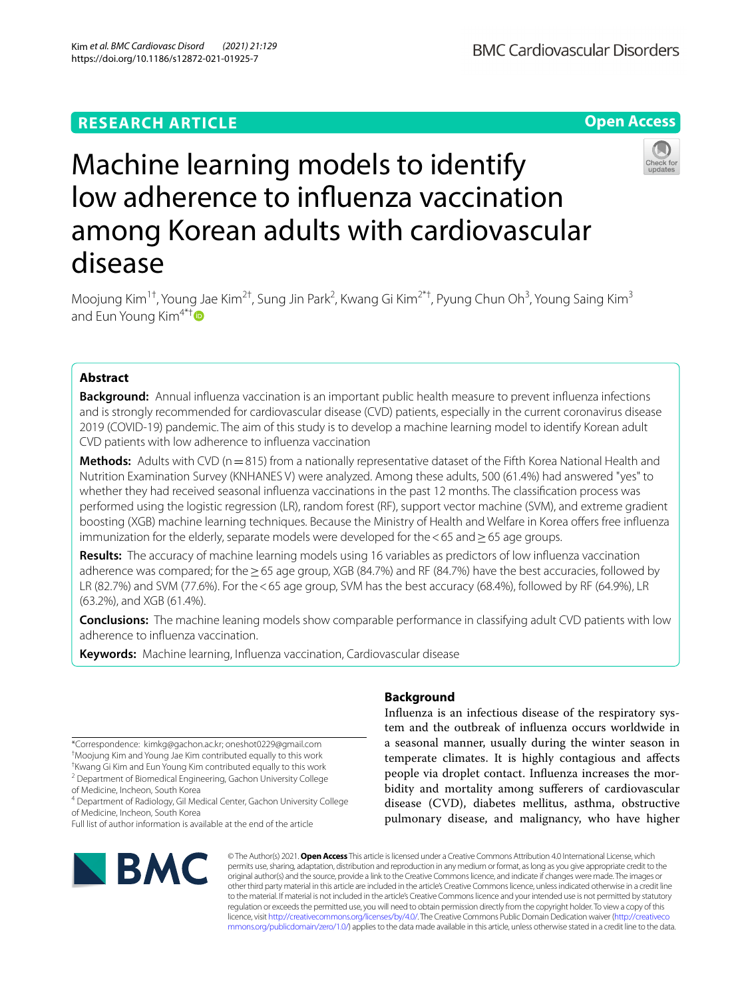# **RESEARCH ARTICLE**

**Open Access**

# Machine learning models to identify low adherence to infuenza vaccination among Korean adults with cardiovascular disease



Moojung Kim<sup>1†</sup>, Young Jae Kim<sup>2†</sup>, Sung Jin Park<sup>2</sup>, Kwang Gi Kim<sup>2\*†</sup>, Pyung Chun Oh<sup>3</sup>, Young Saing Kim<sup>3</sup> and Eun Young Kim<sup>4\*[†](http://orcid.org/0000-0002-2101-7982)</sup>

# **Abstract**

**Background:** Annual infuenza vaccination is an important public health measure to prevent infuenza infections and is strongly recommended for cardiovascular disease (CVD) patients, especially in the current coronavirus disease 2019 (COVID-19) pandemic. The aim of this study is to develop a machine learning model to identify Korean adult CVD patients with low adherence to infuenza vaccination

**Methods:** Adults with CVD (n=815) from a nationally representative dataset of the Fifth Korea National Health and Nutrition Examination Survey (KNHANES V) were analyzed. Among these adults, 500 (61.4%) had answered "yes" to whether they had received seasonal infuenza vaccinations in the past 12 months. The classifcation process was performed using the logistic regression (LR), random forest (RF), support vector machine (SVM), and extreme gradient boosting (XGB) machine learning techniques. Because the Ministry of Health and Welfare in Korea ofers free infuenza immunization for the elderly, separate models were developed for the<65 and≥65 age groups.

**Results:** The accuracy of machine learning models using 16 variables as predictors of low infuenza vaccination adherence was compared; for the≥65 age group, XGB (84.7%) and RF (84.7%) have the best accuracies, followed by LR (82.7%) and SVM (77.6%). For the<65 age group, SVM has the best accuracy (68.4%), followed by RF (64.9%), LR (63.2%), and XGB (61.4%).

**Conclusions:** The machine leaning models show comparable performance in classifying adult CVD patients with low adherence to infuenza vaccination.

**Keywords:** Machine learning, Infuenza vaccination, Cardiovascular disease

\*Correspondence: kimkg@gachon.ac.kr; oneshot0229@gmail.com

† Moojung Kim and Young Jae Kim contributed equally to this work

† Kwang Gi Kim and Eun Young Kim contributed equally to this work <sup>2</sup> Department of Biomedical Engineering, Gachon University College

of Medicine, Incheon, South Korea

4 Department of Radiology, Gil Medical Center, Gachon University College of Medicine, Incheon, South Korea

Full list of author information is available at the end of the article



# **Background**

Infuenza is an infectious disease of the respiratory system and the outbreak of infuenza occurs worldwide in a seasonal manner, usually during the winter season in temperate climates. It is highly contagious and afects people via droplet contact. Infuenza increases the morbidity and mortality among suferers of cardiovascular disease (CVD), diabetes mellitus, asthma, obstructive pulmonary disease, and malignancy, who have higher

© The Author(s) 2021. **Open Access** This article is licensed under a Creative Commons Attribution 4.0 International License, which permits use, sharing, adaptation, distribution and reproduction in any medium or format, as long as you give appropriate credit to the original author(s) and the source, provide a link to the Creative Commons licence, and indicate if changes were made. The images or other third party material in this article are included in the article's Creative Commons licence, unless indicated otherwise in a credit line to the material. If material is not included in the article's Creative Commons licence and your intended use is not permitted by statutory regulation or exceeds the permitted use, you will need to obtain permission directly from the copyright holder. To view a copy of this licence, visit [http://creativecommons.org/licenses/by/4.0/.](http://creativecommons.org/licenses/by/4.0/) The Creative Commons Public Domain Dedication waiver ([http://creativeco](http://creativecommons.org/publicdomain/zero/1.0/) [mmons.org/publicdomain/zero/1.0/](http://creativecommons.org/publicdomain/zero/1.0/)) applies to the data made available in this article, unless otherwise stated in a credit line to the data.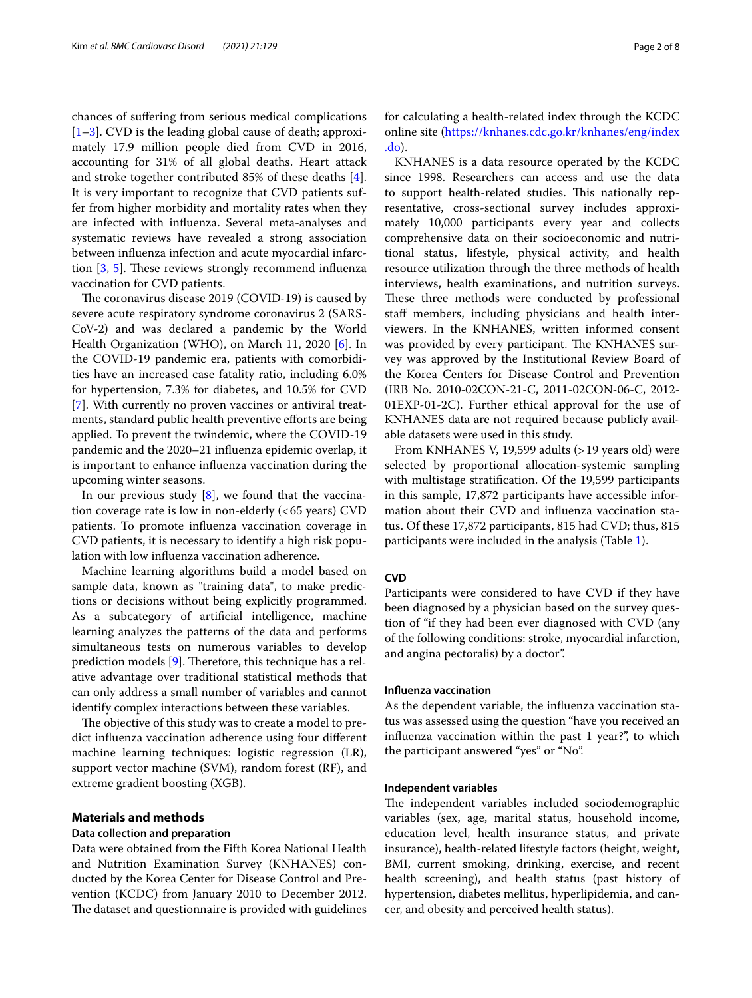chances of sufering from serious medical complications [[1–](#page-7-0)[3\]](#page-7-1). CVD is the leading global cause of death; approximately 17.9 million people died from CVD in 2016, accounting for 31% of all global deaths. Heart attack and stroke together contributed 85% of these deaths [\[4](#page-7-2)]. It is very important to recognize that CVD patients suffer from higher morbidity and mortality rates when they are infected with infuenza. Several meta-analyses and systematic reviews have revealed a strong association between infuenza infection and acute myocardial infarction  $[3, 5]$  $[3, 5]$  $[3, 5]$ . These reviews strongly recommend influenza vaccination for CVD patients.

The coronavirus disease 2019 (COVID-19) is caused by severe acute respiratory syndrome coronavirus 2 (SARS-CoV-2) and was declared a pandemic by the World Health Organization (WHO), on March 11, 2020 [\[6](#page-7-4)]. In the COVID-19 pandemic era, patients with comorbidities have an increased case fatality ratio, including 6.0% for hypertension, 7.3% for diabetes, and 10.5% for CVD [[7\]](#page-7-5). With currently no proven vaccines or antiviral treatments, standard public health preventive eforts are being applied. To prevent the twindemic, where the COVID-19 pandemic and the 2020–21 infuenza epidemic overlap, it is important to enhance infuenza vaccination during the upcoming winter seasons.

In our previous study  $[8]$  $[8]$ , we found that the vaccination coverage rate is low in non-elderly  $(< 65$  years) CVD patients. To promote infuenza vaccination coverage in CVD patients, it is necessary to identify a high risk population with low infuenza vaccination adherence.

Machine learning algorithms build a model based on sample data, known as "training data", to make predictions or decisions without being explicitly programmed. As a subcategory of artifcial intelligence, machine learning analyzes the patterns of the data and performs simultaneous tests on numerous variables to develop prediction models  $[9]$  $[9]$ . Therefore, this technique has a relative advantage over traditional statistical methods that can only address a small number of variables and cannot identify complex interactions between these variables.

The objective of this study was to create a model to predict infuenza vaccination adherence using four diferent machine learning techniques: logistic regression (LR), support vector machine (SVM), random forest (RF), and extreme gradient boosting (XGB).

# **Materials and methods**

## **Data collection and preparation**

Data were obtained from the Fifth Korea National Health and Nutrition Examination Survey (KNHANES) conducted by the Korea Center for Disease Control and Prevention (KCDC) from January 2010 to December 2012. The dataset and questionnaire is provided with guidelines for calculating a health-related index through the KCDC online site [\(https://knhanes.cdc.go.kr/knhanes/eng/index](https://knhanes.cdc.go.kr/knhanes/eng/index.do) [.do](https://knhanes.cdc.go.kr/knhanes/eng/index.do)).

KNHANES is a data resource operated by the KCDC since 1998. Researchers can access and use the data to support health-related studies. This nationally representative, cross-sectional survey includes approximately 10,000 participants every year and collects comprehensive data on their socioeconomic and nutritional status, lifestyle, physical activity, and health resource utilization through the three methods of health interviews, health examinations, and nutrition surveys. These three methods were conducted by professional staff members, including physicians and health interviewers. In the KNHANES, written informed consent was provided by every participant. The KNHANES survey was approved by the Institutional Review Board of the Korea Centers for Disease Control and Prevention (IRB No. 2010-02CON-21-C, 2011-02CON-06-C, 2012- 01EXP-01-2C). Further ethical approval for the use of KNHANES data are not required because publicly available datasets were used in this study.

From KNHANES V, 19,599 adults (>19 years old) were selected by proportional allocation-systemic sampling with multistage stratifcation. Of the 19,599 participants in this sample, 17,872 participants have accessible information about their CVD and infuenza vaccination status. Of these 17,872 participants, 815 had CVD; thus, 815 participants were included in the analysis (Table [1](#page-2-0)).

# **CVD**

Participants were considered to have CVD if they have been diagnosed by a physician based on the survey question of "if they had been ever diagnosed with CVD (any of the following conditions: stroke, myocardial infarction, and angina pectoralis) by a doctor".

## **Infuenza vaccination**

As the dependent variable, the infuenza vaccination status was assessed using the question ''have you received an infuenza vaccination within the past 1 year?", to which the participant answered "yes" or "No".

## **Independent variables**

The independent variables included sociodemographic variables (sex, age, marital status, household income, education level, health insurance status, and private insurance), health-related lifestyle factors (height, weight, BMI, current smoking, drinking, exercise, and recent health screening), and health status (past history of hypertension, diabetes mellitus, hyperlipidemia, and cancer, and obesity and perceived health status).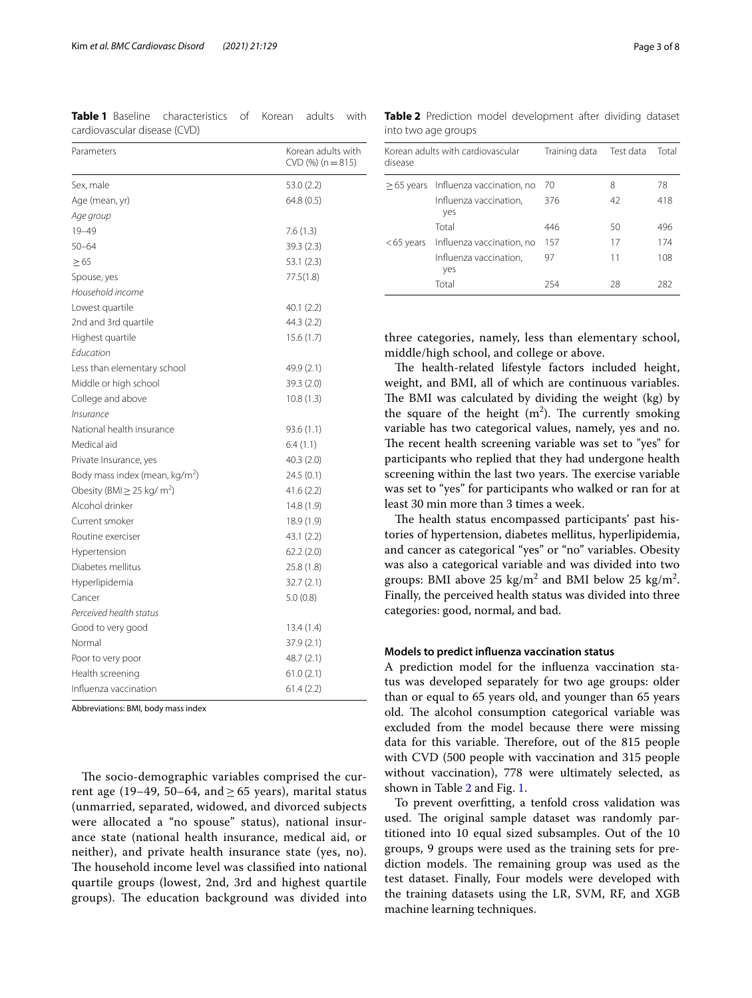| Parameters                                 | Korean adults with<br>$CVD$ (%) (n = 815) |
|--------------------------------------------|-------------------------------------------|
| Sex, male                                  | 53.0 (2.2)                                |
| Age (mean, yr)                             | 64.8 (0.5)                                |
| Age group                                  |                                           |
| $19 - 49$                                  | 7.6 (1.3)                                 |
| $50 - 64$                                  | 39.3 (2.3)                                |
| $\geq 65$                                  | 53.1 (2.3)                                |
| Spouse, yes                                | 77.5(1.8)                                 |
| Household income                           |                                           |
| Lowest quartile                            | 40.1(2.2)                                 |
| 2nd and 3rd quartile                       | 44.3 (2.2)                                |
| Highest quartile                           | 15.6(1.7)                                 |
| Education                                  |                                           |
| Less than elementary school                | 49.9 (2.1)                                |
| Middle or high school                      | 39.3 (2.0)                                |
| College and above                          | 10.8(1.3)                                 |
| Insurance                                  |                                           |
| National health insurance                  | 93.6 (1.1)                                |
| Medical aid                                | 6.4(1.1)                                  |
| Private Insurance, yes                     | 40.3(2.0)                                 |
| Body mass index (mean, kg/m <sup>2</sup> ) | 24.5(0.1)                                 |
| Obesity (BMI $\geq$ 25 kg/m <sup>2</sup> ) | 41.6(2.2)                                 |
| Alcohol drinker                            | 14.8(1.9)                                 |
| Current smoker                             | 18.9(1.9)                                 |
| Routine exerciser                          | 43.1 (2.2)                                |
| Hypertension                               | 62.2(2.0)                                 |
| Diabetes mellitus                          | 25.8 (1.8)                                |
| Hyperlipidemia                             | 32.7(2.1)                                 |
| Cancer                                     | 5.0(0.8)                                  |
| Perceived health status                    |                                           |
| Good to very good                          | 13.4(1.4)                                 |
| Normal                                     | 37.9(2.1)                                 |
| Poor to very poor                          | 48.7 (2.1)                                |
| Health screening                           | 61.0(2.1)                                 |
| Influenza vaccination                      | 61.4 (2.2)                                |

<span id="page-2-0"></span>**Table 1** Baseline characteristics of Korean adults with cardiovascular disease (CVD)

<span id="page-2-1"></span>**Table 2** Prediction model development after dividing dataset into two age groups

| disease      | Korean adults with cardiovascular         | Training data Test data |    | Total |
|--------------|-------------------------------------------|-------------------------|----|-------|
|              | $\geq$ 65 years Influenza vaccination, no | 70                      | 8  | 78    |
|              | Influenza vaccination,<br>yes             | 376                     | 42 | 418   |
|              | Total                                     | 446                     | 50 | 496   |
| $<$ 65 years | Influenza vaccination, no                 | 157                     | 17 | 174   |
|              | Influenza vaccination,<br>yes             | 97                      | 11 | 108   |
|              | Total                                     | 254                     | 28 | 282   |

three categories, namely, less than elementary school, middle/high school, and college or above.

The health-related lifestyle factors included height, weight, and BMI, all of which are continuous variables. The BMI was calculated by dividing the weight (kg) by the square of the height  $(m^2)$ . The currently smoking variable has two categorical values, namely, yes and no. The recent health screening variable was set to "yes" for participants who replied that they had undergone health screening within the last two years. The exercise variable was set to "yes" for participants who walked or ran for at least 30 min more than 3 times a week.

The health status encompassed participants' past histories of hypertension, diabetes mellitus, hyperlipidemia, and cancer as categorical "yes" or "no" variables. Obesity was also a categorical variable and was divided into two groups: BMI above 25  $\text{kg/m}^2$  and BMI below 25  $\text{kg/m}^2$ . Finally, the perceived health status was divided into three categories: good, normal, and bad.

# **Models to predict infuenza vaccination status**

A prediction model for the infuenza vaccination status was developed separately for two age groups: older than or equal to 65 years old, and younger than 65 years old. The alcohol consumption categorical variable was excluded from the model because there were missing data for this variable. Therefore, out of the 815 people with CVD (500 people with vaccination and 315 people without vaccination), 778 were ultimately selected, as shown in Table [2](#page-2-1) and Fig. [1](#page-3-0).

To prevent overftting, a tenfold cross validation was used. The original sample dataset was randomly partitioned into 10 equal sized subsamples. Out of the 10 groups, 9 groups were used as the training sets for prediction models. The remaining group was used as the test dataset. Finally, Four models were developed with the training datasets using the LR, SVM, RF, and XGB machine learning techniques.

Abbreviations: BMI, body mass index

The socio-demographic variables comprised the current age (19–49, 50–64, and  $\geq$  65 years), marital status (unmarried, separated, widowed, and divorced subjects were allocated a "no spouse" status), national insurance state (national health insurance, medical aid, or neither), and private health insurance state (yes, no). The household income level was classified into national quartile groups (lowest, 2nd, 3rd and highest quartile groups). The education background was divided into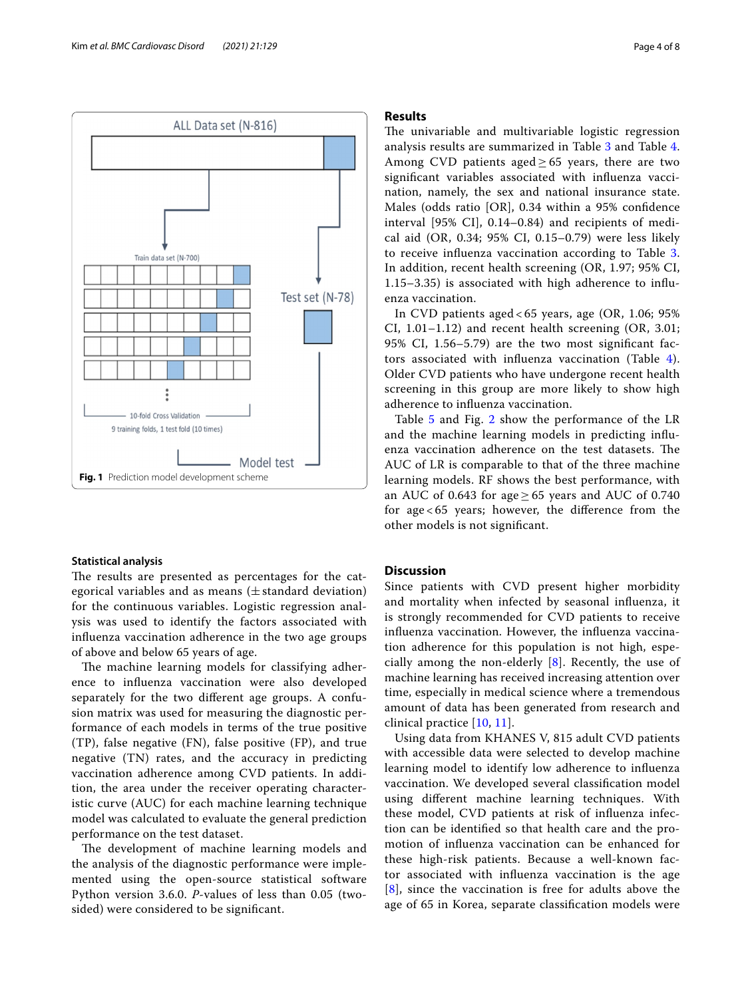

## <span id="page-3-0"></span>**Statistical analysis**

The results are presented as percentages for the categorical variables and as means  $(\pm$  standard deviation) for the continuous variables. Logistic regression analysis was used to identify the factors associated with infuenza vaccination adherence in the two age groups of above and below 65 years of age.

The machine learning models for classifying adherence to infuenza vaccination were also developed separately for the two diferent age groups. A confusion matrix was used for measuring the diagnostic performance of each models in terms of the true positive (TP), false negative (FN), false positive (FP), and true negative (TN) rates, and the accuracy in predicting vaccination adherence among CVD patients. In addition, the area under the receiver operating characteristic curve (AUC) for each machine learning technique model was calculated to evaluate the general prediction performance on the test dataset.

The development of machine learning models and the analysis of the diagnostic performance were implemented using the open-source statistical software Python version 3.6.0. *P*-values of less than 0.05 (twosided) were considered to be signifcant.

## **Results**

The univariable and multivariable logistic regression analysis results are summarized in Table [3](#page-4-0) and Table [4](#page-4-1). Among CVD patients aged  $> 65$  years, there are two signifcant variables associated with infuenza vaccination, namely, the sex and national insurance state. Males (odds ratio [OR], 0.34 within a 95% confdence interval [95% CI], 0.14–0.84) and recipients of medical aid (OR, 0.34; 95% CI, 0.15–0.79) were less likely to receive infuenza vaccination according to Table [3](#page-4-0). In addition, recent health screening (OR, 1.97; 95% CI, 1.15–3.35) is associated with high adherence to infuenza vaccination.

In CVD patients aged < 65 years, age (OR, 1.06; 95% CI, 1.01–1.12) and recent health screening (OR, 3.01; 95% CI, 1.56–5.79) are the two most signifcant factors associated with infuenza vaccination (Table [4](#page-4-1)). Older CVD patients who have undergone recent health screening in this group are more likely to show high adherence to infuenza vaccination.

Table [5](#page-5-0) and Fig. [2](#page-5-1) show the performance of the LR and the machine learning models in predicting infuenza vaccination adherence on the test datasets. The AUC of LR is comparable to that of the three machine learning models. RF shows the best performance, with an AUC of 0.643 for age  $\geq$  65 years and AUC of 0.740 for age < 65 years; however, the diference from the other models is not signifcant.

# **Discussion**

Since patients with CVD present higher morbidity and mortality when infected by seasonal infuenza, it is strongly recommended for CVD patients to receive infuenza vaccination. However, the infuenza vaccination adherence for this population is not high, especially among the non-elderly [\[8](#page-7-6)]. Recently, the use of machine learning has received increasing attention over time, especially in medical science where a tremendous amount of data has been generated from research and clinical practice [[10](#page-7-8), [11](#page-7-9)].

Using data from KHANES V, 815 adult CVD patients with accessible data were selected to develop machine learning model to identify low adherence to infuenza vaccination. We developed several classifcation model using diferent machine learning techniques. With these model, CVD patients at risk of infuenza infection can be identifed so that health care and the promotion of infuenza vaccination can be enhanced for these high-risk patients. Because a well-known factor associated with infuenza vaccination is the age [[8](#page-7-6)], since the vaccination is free for adults above the age of 65 in Korea, separate classifcation models were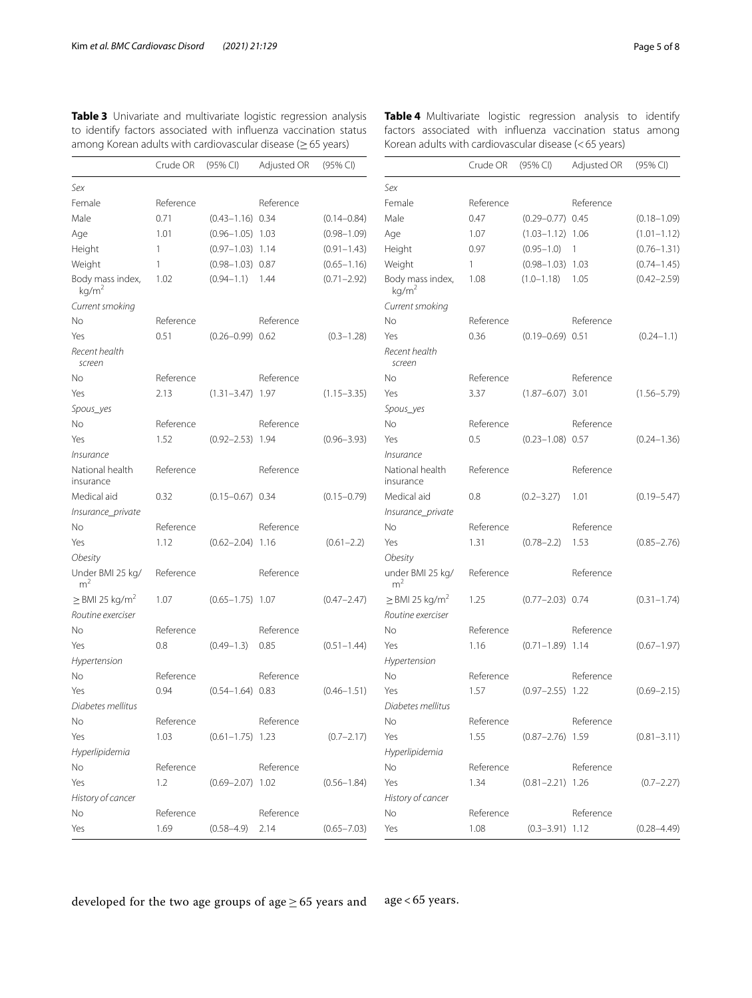|                                       | Crude OR  | (95% CI)             | Adjusted OR | (95% CI)        |
|---------------------------------------|-----------|----------------------|-------------|-----------------|
| Sex                                   |           |                      |             |                 |
| Female                                | Reference |                      | Reference   |                 |
| Male                                  | 0.71      | $(0.43 - 1.16)$      | 0.34        | $(0.14 - 0.84)$ |
| Age                                   | 1.01      | $(0.96 - 1.05)$      | 1.03        | $(0.98 - 1.09)$ |
| Height                                | 1         | $(0.97 - 1.03)$      | 1.14        | $(0.91 - 1.43)$ |
| Weight                                | 1         | $(0.98 - 1.03) 0.87$ |             | $(0.65 - 1.16)$ |
| Body mass index,<br>kg/m <sup>2</sup> | 1.02      | $(0.94 - 1.1)$       | 1.44        | $(0.71 - 2.92)$ |
| Current smoking                       |           |                      |             |                 |
| No                                    | Reference |                      | Reference   |                 |
| Yes                                   | 0.51      | $(0.26 - 0.99)$ 0.62 |             | $(0.3 - 1.28)$  |
| Recent health<br>screen               |           |                      |             |                 |
| Nο                                    | Reference |                      | Reference   |                 |
| Yes                                   | 2.13      | $(1.31 - 3.47)$      | 1.97        | $(1.15 - 3.35)$ |
| Spous_yes                             |           |                      |             |                 |
| No                                    | Reference |                      | Reference   |                 |
| Yes                                   | 1.52      | $(0.92 - 2.53)$      | 1.94        | $(0.96 - 3.93)$ |
| Insurance                             |           |                      |             |                 |
| National health<br>insurance          | Reference |                      | Reference   |                 |
| Medical aid                           | 0.32      | $(0.15 - 0.67)$ 0.34 |             | $(0.15 - 0.79)$ |
| Insurance_private                     |           |                      |             |                 |
| No                                    | Reference |                      | Reference   |                 |
| Yes                                   | 1.12      | $(0.62 - 2.04)$      | 1.16        | $(0.61 - 2.2)$  |
| Obesity                               |           |                      |             |                 |
| Under BMI 25 kg/<br>m <sup>2</sup>    | Reference |                      | Reference   |                 |
| $\geq$ BMI 25 kg/m <sup>2</sup>       | 1.07      | $(0.65 - 1.75)$      | 1.07        | $(0.47 - 2.47)$ |
| Routine exerciser                     |           |                      |             |                 |
| No                                    | Reference |                      | Reference   |                 |
| Yes                                   | 0.8       | $(0.49 - 1.3)$       | 0.85        | $(0.51 - 1.44)$ |
| Hypertension                          |           |                      |             |                 |
| No                                    | Reference |                      | Reference   |                 |
| Yes                                   | 0.94      | $(0.54 - 1.64)$      | 0.83        | $(0.46 - 1.51)$ |
| Diabetes mellitus                     |           |                      |             |                 |
| No                                    | Reference |                      | Reference   |                 |
| Yes                                   | 1.03      | $(0.61 - 1.75)$      | 1.23        | $(0.7 - 2.17)$  |
| Hyperlipidemia                        |           |                      |             |                 |
| No                                    | Reference |                      | Reference   |                 |
| Yes                                   | 1.2       | $(0.69 - 2.07)$      | 1.02        | $(0.56 - 1.84)$ |
| History of cancer                     |           |                      |             |                 |

<span id="page-4-0"></span>**Table 3** Univariate and multivariate logistic regression analysis to identify factors associated with infuenza vaccination status among Korean adults with cardiovascular disease ( $\geq$  65 years)

<span id="page-4-1"></span>**Table 4** Multivariate logistic regression analysis to identify factors associated with infuenza vaccination status among Korean adults with cardiovascular disease (<65 years)

|                                       | (95% CI)<br>Crude OR |                      | Adjusted OR | (95% CI)        |  |
|---------------------------------------|----------------------|----------------------|-------------|-----------------|--|
| Sex                                   |                      |                      |             |                 |  |
| Female                                | Reference            |                      | Reference   |                 |  |
| Male                                  | 0.47                 | $(0.29 - 0.77)$      | 0.45        | $(0.18 - 1.09)$ |  |
| Age                                   | 1.07                 | $(1.03 - 1.12)$      | 1.06        | $(1.01 - 1.12)$ |  |
| Height                                | 0.97                 | $(0.95 - 1.0)$       | 1           | $(0.76 - 1.31)$ |  |
| Weight                                | 1                    | $(0.98 - 1.03)$ 1.03 |             | $(0.74 - 1.45)$ |  |
| Body mass index,<br>kg/m <sup>2</sup> | 1.08                 | $(1.0 - 1.18)$       | 1.05        | $(0.42 - 2.59)$ |  |
| Current smoking                       |                      |                      |             |                 |  |
| No                                    | Reference            |                      | Reference   |                 |  |
| Yes                                   | 0.36                 | $(0.19 - 0.69)$ 0.51 |             | $(0.24 - 1.1)$  |  |
| Recent health<br>screen               |                      |                      |             |                 |  |
| No                                    | Reference            |                      | Reference   |                 |  |
| Yes                                   | 3.37                 | $(1.87 - 6.07)$      | 3.01        | $(1.56 - 5.79)$ |  |
| Spous_yes                             |                      |                      |             |                 |  |
| No                                    | Reference            |                      | Reference   |                 |  |
| Yes                                   | 0.5                  | $(0.23 - 1.08)$      | 0.57        | $(0.24 - 1.36)$ |  |
| Insurance                             |                      |                      |             |                 |  |
| National health<br>insurance          | Reference            |                      | Reference   |                 |  |
| Medical aid                           | 0.8                  | $(0.2 - 3.27)$       | 1.01        | $(0.19 - 5.47)$ |  |
| Insurance_private                     |                      |                      |             |                 |  |
| No                                    | Reference            |                      | Reference   |                 |  |
| Yes                                   | 1.31                 | $(0.78 - 2.2)$       | 1.53        | $(0.85 - 2.76)$ |  |
| Obesity                               |                      |                      |             |                 |  |
| under BMI 25 kg/<br>m <sup>2</sup>    | Reference            |                      | Reference   |                 |  |
| $\geq$ BMI 25 kg/m <sup>2</sup>       | 1.25                 | $(0.77 - 2.03)$ 0.74 |             | $(0.31 - 1.74)$ |  |
| Routine exerciser                     |                      |                      |             |                 |  |
| No                                    | Reference            |                      | Reference   |                 |  |
| Yes                                   | 1.16                 | $(0.71 - 1.89)$      | 1.14        | $(0.67 - 1.97)$ |  |
| Hypertension                          |                      |                      |             |                 |  |
| No                                    | Reference            |                      | Reference   |                 |  |
| Yes                                   | 1.57                 | $(0.97 - 2.55)$      | 1.22        | $(0.69 - 2.15)$ |  |
| Diabetes mellitus                     |                      |                      |             |                 |  |
| No                                    | Reference            |                      | Reference   |                 |  |
| Yes                                   | 1.55                 | $(0.87 - 2.76)$ 1.59 |             | $(0.81 - 3.11)$ |  |
| Hyperlipidemia                        |                      |                      |             |                 |  |
| No                                    | Reference            |                      | Reference   |                 |  |
| Yes                                   | 1.34                 | $(0.81 - 2.21)$ 1.26 |             | $(0.7 - 2.27)$  |  |
| History of cancer                     |                      |                      |             |                 |  |
| No                                    | Reference            |                      | Reference   |                 |  |
| Yes                                   | 1.08                 | $(0.3 - 3.91)$ 1.12  |             | $(0.28 - 4.49)$ |  |

developed for the two age groups of  $age \ge 65$  years and age < 65 years.

Yes 1.69 (0.58–4.9) 2.14 (0.65–7.03)

No Reference Reference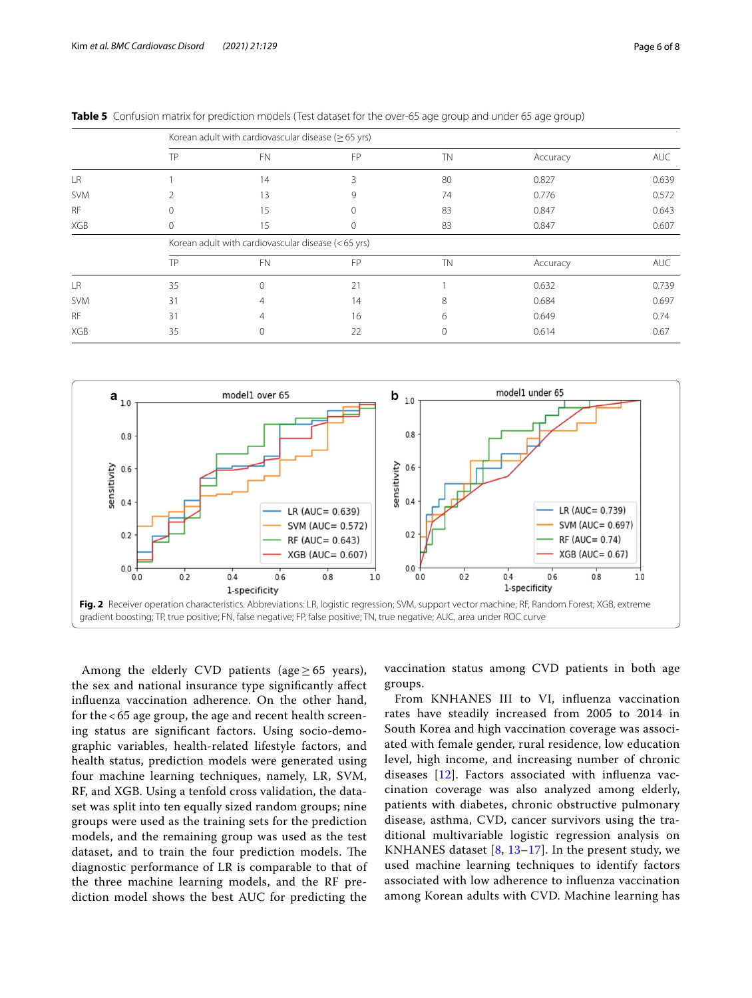|            | Korean adult with cardiovascular disease ( $\geq 65$ yrs) |                                                    |           |    |          |            |  |  |
|------------|-----------------------------------------------------------|----------------------------------------------------|-----------|----|----------|------------|--|--|
|            | TP                                                        | <b>FN</b>                                          | <b>FP</b> | TN | Accuracy | AUC        |  |  |
| <b>LR</b>  |                                                           | 14                                                 |           | 80 | 0.827    | 0.639      |  |  |
| <b>SVM</b> |                                                           | 13                                                 |           | 74 | 0.776    | 0.572      |  |  |
| <b>RF</b>  |                                                           | 15                                                 |           | 83 | 0.847    | 0.643      |  |  |
| XGB        |                                                           | 15                                                 |           | 83 | 0.847    | 0.607      |  |  |
|            |                                                           | Korean adult with cardiovascular disease (<65 yrs) |           |    |          |            |  |  |
|            | TP                                                        | <b>FN</b>                                          | <b>FP</b> | TN | Accuracy | <b>AUC</b> |  |  |
| <b>LR</b>  | 35                                                        | $\Omega$                                           | 21        |    | 0.632    | 0.739      |  |  |
| <b>SVM</b> | 31                                                        |                                                    | 14        | 8  | 0.684    | 0.697      |  |  |
| <b>RF</b>  | 31                                                        |                                                    | 16        | 6  | 0.649    | 0.74       |  |  |
| XGB        | 35                                                        |                                                    | 22        |    | 0.614    | 0.67       |  |  |

<span id="page-5-0"></span>**Table 5** Confusion matrix for prediction models (Test dataset for the over-65 age group and under 65 age group)



<span id="page-5-1"></span>Among the elderly CVD patients (age  $\geq$  65 years), the sex and national insurance type signifcantly afect infuenza vaccination adherence. On the other hand, for the < 65 age group, the age and recent health screening status are signifcant factors. Using socio-demographic variables, health-related lifestyle factors, and health status, prediction models were generated using four machine learning techniques, namely, LR, SVM, RF, and XGB. Using a tenfold cross validation, the dataset was split into ten equally sized random groups; nine groups were used as the training sets for the prediction models, and the remaining group was used as the test dataset, and to train the four prediction models. The diagnostic performance of LR is comparable to that of the three machine learning models, and the RF prediction model shows the best AUC for predicting the vaccination status among CVD patients in both age groups.

From KNHANES III to VI, infuenza vaccination rates have steadily increased from 2005 to 2014 in South Korea and high vaccination coverage was associated with female gender, rural residence, low education level, high income, and increasing number of chronic diseases [\[12\]](#page-7-10). Factors associated with infuenza vaccination coverage was also analyzed among elderly, patients with diabetes, chronic obstructive pulmonary disease, asthma, CVD, cancer survivors using the traditional multivariable logistic regression analysis on KNHANES dataset  $[8, 13-17]$  $[8, 13-17]$  $[8, 13-17]$ . In the present study, we used machine learning techniques to identify factors associated with low adherence to infuenza vaccination among Korean adults with CVD. Machine learning has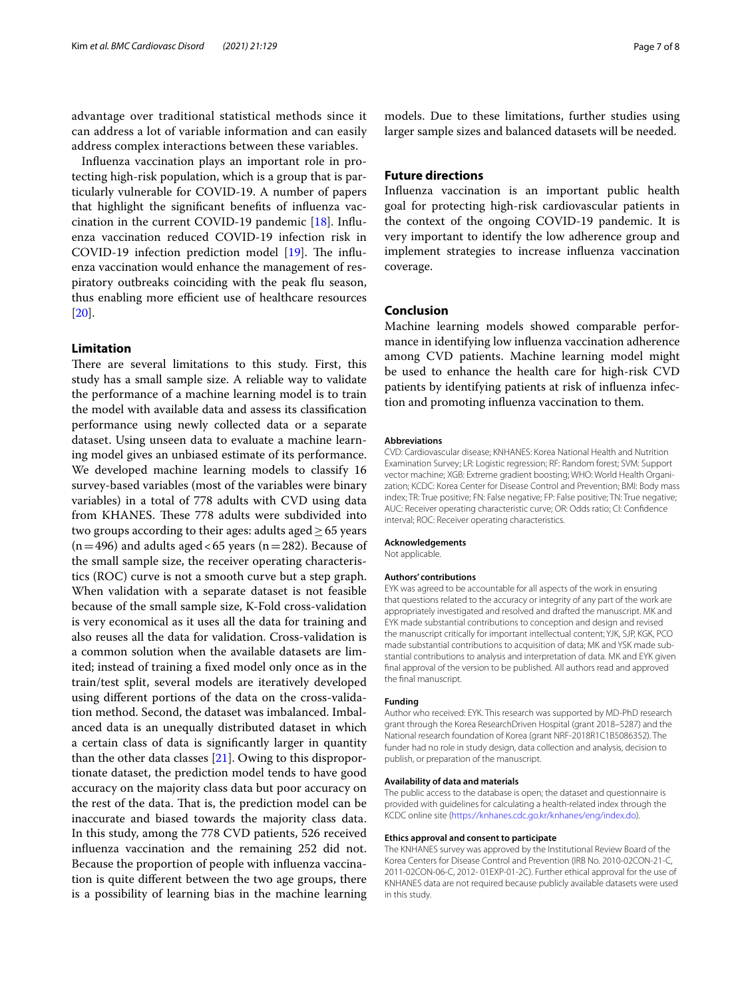advantage over traditional statistical methods since it can address a lot of variable information and can easily address complex interactions between these variables.

Infuenza vaccination plays an important role in protecting high-risk population, which is a group that is particularly vulnerable for COVID-19. A number of papers that highlight the signifcant benefts of infuenza vaccination in the current COVID-19 pandemic  $[18]$ . Influenza vaccination reduced COVID-19 infection risk in COVID-19 infection prediction model  $[19]$  $[19]$ . The influenza vaccination would enhance the management of respiratory outbreaks coinciding with the peak fu season, thus enabling more efficient use of healthcare resources [[20\]](#page-7-15).

# **Limitation**

There are several limitations to this study. First, this study has a small sample size. A reliable way to validate the performance of a machine learning model is to train the model with available data and assess its classifcation performance using newly collected data or a separate dataset. Using unseen data to evaluate a machine learning model gives an unbiased estimate of its performance. We developed machine learning models to classify 16 survey-based variables (most of the variables were binary variables) in a total of 778 adults with CVD using data from KHANES. These 778 adults were subdivided into two groups according to their ages: adults aged  $\geq$  65 years  $(n=496)$  and adults aged < 65 years  $(n=282)$ . Because of the small sample size, the receiver operating characteristics (ROC) curve is not a smooth curve but a step graph. When validation with a separate dataset is not feasible because of the small sample size, K-Fold cross-validation is very economical as it uses all the data for training and also reuses all the data for validation. Cross-validation is a common solution when the available datasets are limited; instead of training a fxed model only once as in the train/test split, several models are iteratively developed using diferent portions of the data on the cross-validation method. Second, the dataset was imbalanced. Imbalanced data is an unequally distributed dataset in which a certain class of data is signifcantly larger in quantity than the other data classes  $[21]$  $[21]$ . Owing to this disproportionate dataset, the prediction model tends to have good accuracy on the majority class data but poor accuracy on the rest of the data. That is, the prediction model can be inaccurate and biased towards the majority class data. In this study, among the 778 CVD patients, 526 received infuenza vaccination and the remaining 252 did not. Because the proportion of people with infuenza vaccination is quite diferent between the two age groups, there is a possibility of learning bias in the machine learning

models. Due to these limitations, further studies using larger sample sizes and balanced datasets will be needed.

# **Future directions**

Infuenza vaccination is an important public health goal for protecting high-risk cardiovascular patients in the context of the ongoing COVID-19 pandemic. It is very important to identify the low adherence group and implement strategies to increase infuenza vaccination coverage.

# **Conclusion**

Machine learning models showed comparable performance in identifying low infuenza vaccination adherence among CVD patients. Machine learning model might be used to enhance the health care for high-risk CVD patients by identifying patients at risk of infuenza infection and promoting infuenza vaccination to them.

#### **Abbreviations**

CVD: Cardiovascular disease; KNHANES: Korea National Health and Nutrition Examination Survey; LR: Logistic regression; RF: Random forest; SVM: Support vector machine; XGB: Extreme gradient boosting; WHO: World Health Organization; KCDC: Korea Center for Disease Control and Prevention; BMI: Body mass index; TR: True positive; FN: False negative; FP: False positive; TN: True negative; AUC: Receiver operating characteristic curve; OR: Odds ratio; CI: Confdence interval; ROC: Receiver operating characteristics.

#### **Acknowledgements**

Not applicable.

## **Authors' contributions**

EYK was agreed to be accountable for all aspects of the work in ensuring that questions related to the accuracy or integrity of any part of the work are appropriately investigated and resolved and drafted the manuscript. MK and EYK made substantial contributions to conception and design and revised the manuscript critically for important intellectual content; YJK, SJP, KGK, PCO made substantial contributions to acquisition of data; MK and YSK made substantial contributions to analysis and interpretation of data. MK and EYK given fnal approval of the version to be published. All authors read and approved the fnal manuscript.

### **Funding**

Author who received: EYK. This research was supported by MD-PhD research grant through the Korea ResearchDriven Hospital (grant 2018–5287) and the National research foundation of Korea (grant NRF-2018R1C1B5086352). The funder had no role in study design, data collection and analysis, decision to publish, or preparation of the manuscript.

### **Availability of data and materials**

The public access to the database is open; the dataset and questionnaire is provided with guidelines for calculating a health-related index through the KCDC online site (<https://knhanes.cdc.go.kr/knhanes/eng/index.do>).

## **Ethics approval and consent to participate**

The KNHANES survey was approved by the Institutional Review Board of the Korea Centers for Disease Control and Prevention (IRB No. 2010-02CON-21-C, 2011-02CON-06-C, 2012- 01EXP-01-2C). Further ethical approval for the use of KNHANES data are not required because publicly available datasets were used in this study.